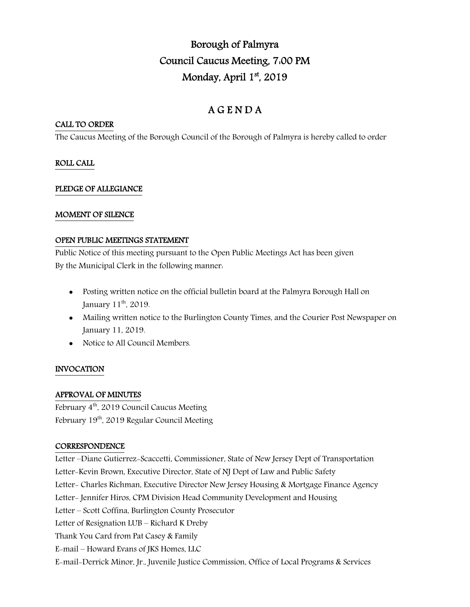# Borough of Palmyra Council Caucus Meeting, 7:00 PM Monday, April 1st, 2019

## A G E N D A

## CALL TO ORDER

The Caucus Meeting of the Borough Council of the Borough of Palmyra is hereby called to order

## ROLL CALL

## PLEDGE OF ALLEGIANCE

## MOMENT OF SILENCE

## OPEN PUBLIC MEETINGS STATEMENT

Public Notice of this meeting pursuant to the Open Public Meetings Act has been given By the Municipal Clerk in the following manner:

- Posting written notice on the official bulletin board at the Palmyra Borough Hall on January 11<sup>th</sup>, 2019.
- Mailing written notice to the Burlington County Times, and the Courier Post Newspaper on January 11, 2019.
- Notice to All Council Members.

## INVOCATION

## APPROVAL OF MINUTES

February  $4<sup>th</sup>$ , 2019 Council Caucus Meeting February 19<sup>th</sup>, 2019 Regular Council Meeting

## **CORRESPONDENCE**

Letter –Diane Gutierrez-Scaccetti, Commissioner, State of New Jersey Dept of Transportation Letter-Kevin Brown, Executive Director, State of NJ Dept of Law and Public Safety Letter- Charles Richman, Executive Director New Jersey Housing & Mortgage Finance Agency Letter- Jennifer Hiros, CPM Division Head Community Development and Housing Letter – Scott Coffina, Burlington County Prosecutor Letter of Resignation LUB – Richard K Dreby Thank You Card from Pat Casey & Family E-mail – Howard Evans of JKS Homes, LLC E-mail-Derrick Minor, Jr., Juvenile Justice Commission, Office of Local Programs & Services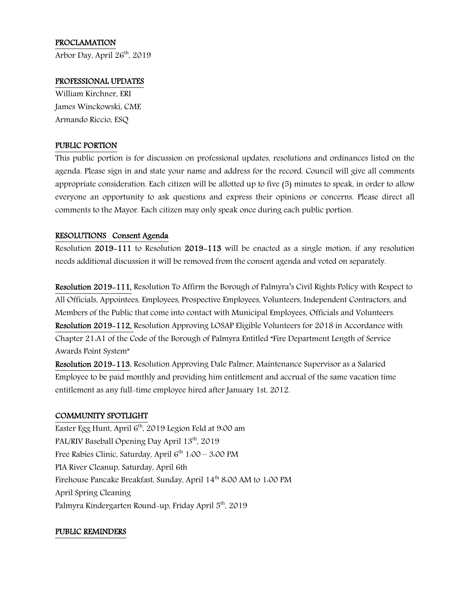## PROCLAMATION

Arbor Day, April  $26<sup>th</sup>$ , 2019

#### PROFESSIONAL UPDATES

William Kirchner, ERI James Winckowski, CME Armando Riccio, ESQ

#### PUBLIC PORTION

This public portion is for discussion on professional updates, resolutions and ordinances listed on the agenda. Please sign in and state your name and address for the record. Council will give all comments appropriate consideration. Each citizen will be allotted up to five (5) minutes to speak, in order to allow everyone an opportunity to ask questions and express their opinions or concerns. Please direct all comments to the Mayor. Each citizen may only speak once during each public portion.

#### RESOLUTIONS Consent Agenda

Resolution 2019-111 to Resolution 2019-113 will be enacted as a single motion, if any resolution needs additional discussion it will be removed from the consent agenda and voted on separately.

Resolution 2019-111, Resolution To Affirm the Borough of Palmyra's Civil Rights Policy with Respect to All Officials, Appointees, Employees, Prospective Employees, Volunteers, Independent Contractors, and Members of the Public that come into contact with Municipal Employees, Officials and Volunteers. Resolution 2019-112, Resolution Approving LOSAP Eligible Volunteers for 2018 in Accordance with Chapter 21:A1 of the Code of the Borough of Palmyra Entitled "Fire Department Length of Service Awards Point System"

Resolution 2019-113, Resolution Approving Dale Palmer, Maintenance Supervisor as a Salaried Employee to be paid monthly and providing him entitlement and accrual of the same vacation time entitlement as any full-time employee hired after January 1st, 2012.

#### COMMUNITY SPOTLIGHT

Easter Egg Hunt, April  $6<sup>th</sup>$ , 2019 Legion Feld at 9:00 am PAL/RIV Baseball Opening Day April 13<sup>th</sup>, 2019 Free Rabies Clinic, Saturday, April  $6^{th}$  1:00 – 3:00 PM PIA River Cleanup, Saturday, April 6th Firehouse Pancake Breakfast, Sunday, April 14<sup>th</sup> 8:00 AM to 1:00 PM April Spring Cleaning Palmyra Kindergarten Round-up, Friday April 5<sup>th</sup>, 2019

#### PUBLIC REMINDERS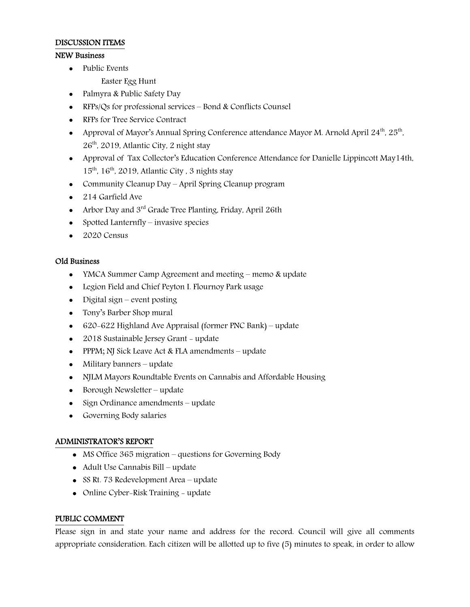#### DISCUSSION ITEMS

## NEW Business

• Public Events

Easter Egg Hunt

- Palmyra & Public Safety Day
- RFPs/Qs for professional services Bond & Conflicts Counsel
- RFPs for Tree Service Contract
- Approval of Mayor's Annual Spring Conference attendance Mayor M. Arnold April  $24<sup>th</sup>$ ,  $25<sup>th</sup>$ ,  $26<sup>th</sup>$ , 2019, Atlantic City, 2 night stay
- Approval of Tax Collector's Education Conference Attendance for Danielle Lippincott May14th,  $15<sup>th</sup>$ ,  $16<sup>th</sup>$ , 2019, Atlantic City, 3 nights stay
- Community Cleanup Day April Spring Cleanup program
- 214 Garfield Ave
- Arbor Day and  $3<sup>rd</sup>$  Grade Tree Planting, Friday, April 26th
- Spotted Lanternfly invasive species
- $\bullet$  2020 Census

#### Old Business

- YMCA Summer Camp Agreement and meeting memo & update
- Legion Field and Chief Peyton I. Flournoy Park usage
- Digital sign event posting
- Tony's Barber Shop mural
- 620-622 Highland Ave Appraisal (former PNC Bank) update
- 2018 Sustainable Jersey Grant update
- PPPM; NJ Sick Leave Act & FLA amendments update
- Military banners update
- NJLM Mayors Roundtable Events on Cannabis and Affordable Housing
- Borough Newsletter update
- Sign Ordinance amendments update
- Governing Body salaries

#### ADMINISTRATOR'S REPORT

- MS Office 365 migration questions for Governing Body
- Adult Use Cannabis Bill update
- SS Rt. 73 Redevelopment Area update
- Online Cyber-Risk Training update

## PUBLIC COMMENT

Please sign in and state your name and address for the record. Council will give all comments appropriate consideration. Each citizen will be allotted up to five (5) minutes to speak, in order to allow